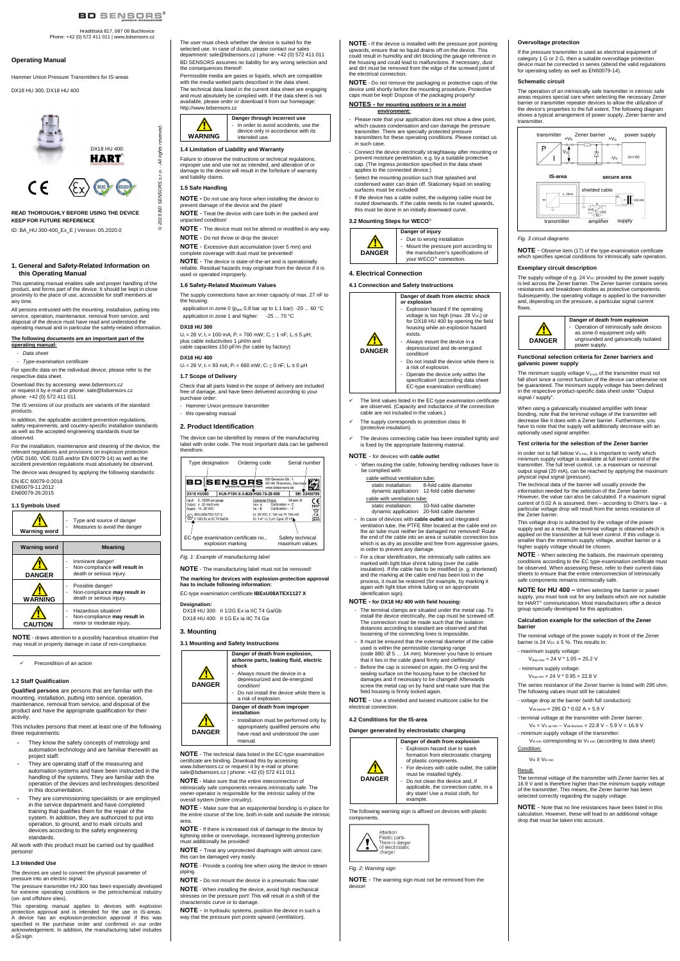# BD SENSORS<sup>®</sup>

# Hradištská 817, 687 08 Buchlovice Phone: +42 (0) 572 411 011 | www.bdsensors.cz

© 2019 BD SENSORS s.r.o. - All rights reserved.

SENSORS s.r.o.

S GBI

5r  $\overline{0}$  20

reserved.

- All rights

# **Operating Manual**

Hammer Union Pressure Transmitters for IS-areas

DX18 HU 300, DX18 HU 400

**READ THOROUGHLY BEFORE USING THE DEVICE KEEP FOR FUTURE REFERENCE** 

ID: BA\_HU 300-400\_Ex\_E | Version: 05.2020.0

# **1. General and Safety-Related Information on this Operating Manual**

Data sheet - Type-examination certificate

This operating manual enables safe and proper handling of the product, and forms part of the device. It should be kept in close proximity to the place of use, accessible for staff members at any time.

All persons entrusted with the mounting, installation, putting into service, operation, maintenance, removal from service, and disposal of the device must have read and understood the operating manual and in particular the safety-related information.

# **The following documents are an important part of the**

**operating manual:** 

For specific data on the individual device, please refer to the respective data sheet.

Download this by accessing www.bdsensors.cz or request it by e-mail or phone: sale@bdsensors.cz phone: +42 (0) 572 411 011

The IS versions of our products are variants of the standard products.

In addition, the applicable accident prevention regulations, safety requirements, and country-specific installation standards as well as the accepted engineering standards must be observed.

For the installation, maintenance and cleaning of the device, the relevant regulations and provisions on explosion protection (VDE 0160, VDE 0165 and/or EN 60079-14) as well as the

accident prevention regulations must absolutely be observed. The device was designed by applying the following standards: EN IEC 60079-0:2018

EN60079-11:2012 EN60079-26:2015

# **1.1 Symbols Used**

This operating manual applies to devices with explosion protection approval and is intended for the use in IS-areas. A device has an explosion-protection approval if this was specified in the purchase order and confirmed in our order acknowledgement. In addition, the manufacturing label includes a  $\otimes$  sign.



**NOTE** - draws attention to a possibly hazardous situation that may result in property damage in case of non-compliance.

# Precondition of an action

# **1.2 Staff Qualification**

**Qualified persons** are persons that are familiar with the mounting, installation, putting into service, operation, maintenance, removal from service, and disposal of the product and have the appropriate qualification for their activity.

This includes persons that meet at least one of the following three requirements:

 $U_i = 28$  V;  $I_i = 100$  mA; P<sub>i</sub> = 700 mW; C<sub>i</sub> ≤ 1 nF; L<sub>i</sub> ≤ 5 µH; plus cable inductivities 1 µH/m and cable capacities 150 pF/m (for cable by factory)

 $U_i = 28$  V;  $I_i = 93$  mA;  $P_i = 660$  mW;  $C_i ≤ 0$  nF; L<sub>i</sub> ≤ 0 µH **1.7 Scope of Delivery** 

- They know the safety concepts of metrology and automation technology and are familiar therewith as project staff.
- They are operating staff of the measuring and automation systems and have been instructed in the handling of the systems. They are familiar with the operation of the devices and technologies described in this documentation.
- They are commissioning specialists or are employed in the service department and have completed training that qualifies them for the repair of the system. In addition, they are authorized to put into operation, to ground, and to mark circuits and devices according to the safety engineering standards.

All work with this product must be carried out by qualified persons!

#### **1.3 Intended Use**

The devices are used to convert the physical parameter of pressure into an electric signal.

appropriately qualified persons who have read and understood the user manual

The pressure transmitter HU 300 has been especially developed for extreme operating conditions in the petrochemical industry (on- and offshore sites).

The user must check whether the device is suited for the selected use. In case of doubt, please contact our sales department: sale@bdsensors.cz | phone: +42 (0) 572 411 011 BD SENSORS assumes no liability for any wrong selection and the consequences thereof!

Permissible media are gases or liquids, which are compatible with the media wetted parts described in the data sheet. The technical data listed in the current data sheet are engaging

and must absolutely be complied with. If the data sheet is not available, please order or download it from our homepage: http://www.bdsensors.cz

> Please note that your application does not show a dew point. which causes condensation and can damage the pressure transmitter. There are specially protected pressure transmitters for these operating conditions. Please contact us in such case.



# **1.4 Limitation of Liability and Warranty**

Failure to observe the instructions or technical regulations, improper use and use not as intended, and alteration of or damage to the device will result in the forfeiture of warranty and liability claims.

- Connect the device electrically straightaway after mounting or prevent moisture penetration, e.g. by a suitable protective cap. (The ingress protection specified in the data sheet applies to the connected device.)
- Select the mounting position such that splashed and condensed water can drain off. Stationary liquid on sealing surfaces must be excluded!
- If the device has a cable outlet, the outgoing cable must be routed downwards. If the cable needs to be routed upwards, this must be done in an initially downward curve.

# **1.5 Safe Handling**

**NOTE -** Do not use any force when installing the device to prevent damage of the device and the plant!

**NOTE** - Treat the device with care both in the packed and unpacked condition!

- **NOTE** The device must not be altered or modified in any way. **NOTE** - Do not throw or drop the device!
- **NOTE** Excessive dust accumulation (over 5 mm) and
- complete coverage with dust must be prevented!

**NOTE** - The device is state-of-the-art and is operationally reliable. Residual hazards may originate from the device if it is used or operated improperly.

> When routing the cable, following bending radiuses have to be complied with:

# **1.6 Safety-Related Maximum Values**

The supply connections have an inner capacity of max. 27 nF to the housing.

application in zone 0 ( $p_{atm}$  0.8 bar up to 1.1 bar): -20 ... 60 °C application in zone 1 and higher: -25 ... 70 °C

# **DX18 HU 300**

#### **DX18 HU 400**

Check that all parts listed in the scope of delivery are included free of damage, and have been delivered according to your purchase order:

- Hammer Union pressure transmitter
- this operating manual

# **2. Product Identification**

The device can be identified by means of the manufacturing label with order code. The most important data can be gathered therefrom.

> The terminal clamps are situated under the metal cap. To install the device electrically, the cap must be screwed off. The connection must be made such that the isolation distances according to standard are observed and that loosening of the connecting lines is impossible. - It must be ensured that the external diameter of the cable used is within the permissible clamping range (code 880: Ø 5 … 14 mm). Moreover you have to ensure that it lies in the cable gland firmly and cleftlessly! Before the cap is screwed on again, the O-ring and the sealing surface on the housing have to be checked for damages and if necessary to be changed! Afterwards screw the metal cap on by hand and make sure that the

Fig. 1: Example of manufacturing label

**NOTE** - The manufacturing label must not be removed!

**The marking for devices with explosion-protection approval has to include following information:** 

- Explosion hazard due to spark formation from electrostatic charging of plastic components.
- For devices with cable outlet, the cabl must be installed tightly.
- Do not clean the device and, if applicable, the connection cable, in a dry state! Use a moist cloth, for example.

EC-type examination certificate **IBExU08ATEX1127 X** 

**Designation:**  DX18 HU 300: II 1/2G Ex ia IIC T4 Ga/Gb

DX18 HU 400: II 1G Ex ia IIC T4 Ga

# **3. Mounting**

 $\sqrt{N}$ 

# **3.1 Mounting and Safety Instructions**





condition! Do not install the device while there is a risk of explosion.



**Danger of death from improper installation** 

- Installation must be performed only by

The supply voltage of e.g. 24 V<sub>DC</sub> provided by the power supply<br>is led across the Zener barrier. The Zener barrier contains series resistances and breakdown diodes as protective components. Subsequently, the operating voltage is applied to the transmitter and, depending on the pressure, a particular signal current

> **Danger of death from explosion**  - Operation of intrinsically safe devices as zone-0 equipment only with ungrounded and galvanically isolated

**NOTE** - The technical data listed in the EC-type examination certificate are binding. Download this by accessing www.bdsensors.cz or request it by e-mail or phone sale@bdsensors.cz | phone: +42 (0) 572 411 011

The minimum supply voltage  $V_{\text{S min}}$  of the transmitter must not fall short since a correct function of the device can otherwise not be guaranteed. The minimum supply voltage has been defined in the respective product-specific data sheet under "Output

When using a galvanically insulated amplifier with linear bonding, note that the terminal voltage of the transmitter will decrease like it does with a Zener barrier. Furthermore, you have to note that the supply will additionally decrease with an

**NOTE** - Make sure that the entire interconnection of intrinsically safe components remains intrinsically safe. The owner-operator is responsible for the intrinsic safety of the overall system (entire circuitry).

**Test criteria for the selection of the Zener barrier**  In order not to fall below  $V_{\text{S min}}$ , it is important to verify which minimum supply voltage is available at full level control of the transmitter. The full level control, i.e. a maximum or nominal output signal (20 mA), can be reached by applying the maximum physical input signal (pressure). The technical data of the barrier will usually provide the information needed for the selection of the Zener barrier. However, the value can also be calculated. If a maximum signal current of 0.02 A is assumed, then – according to Ohm's law – a particular voltage drop will result from the series resistance of

**NOTE** - Make sure that an equipotential bonding is in place for the entire course of the line, both in-side and outside the intrinsic area.

**NOTE** - If there is increased risk of damage to the device by lightning strike or overvoltage, increased lightning protection must additionally be provided!

 **NOTE** - Treat any unprotected diaphragm with utmost care; this can be damaged very easily.

**NOTE** - Provide a cooling line when using the device in steam piping.

**NOTE** - Do not mount the device in a pneumatic flow rate!

**NOTE** - When installing the device, avoid high mechanical stresses on the pressure port! This will result in a shift of the characteristic curve or to damage.

**NOTE for HU 400 –** When selecting the barrier or power supply, you must look out for any ballasts which are not suitable for HART<sup>®</sup> communication. Most manufacturers offer a device

**NOTE** - In hydraulic systems, position the device in such a way that the pressure port points upward (ventilation).

- maximum supply voltage:  $V_{Sup \, max} = 24 \, V \cdot 1.05 = 25.2 \, V$ 

- minimum supply voltage:  $V_{\text{Sup min}} = 24 \text{ V} \cdot 0.95 = 22.8 \text{ V}$ 

The following values must still be calculated: - voltage drop at the barrier (with full conduction):  $V_{\text{ab barrier}} = 295 \Omega * 0.02 \text{ A} = 5.9 \text{ V}$ 

**NOTE -** If the device is installed with the pressure port pointing upwards, ensure that no liquid drains off on the device. This could result in humidity and dirt blocking the gauge reference in the housing and could lead to malfunctions. If necessary, dust and dirt must be removed from the edge of the screwed joint of the electrical connection.

> - terminal voltage at the transmitter with Zener barrier:  $V_{\text{Kl}} = V_{\text{S up min}} - V_{\text{ab Barriere}} = 22.8 \text{ V} - 5.9 \text{ V} = 16.9 \text{ V}$

minimum supply voltage of the transmitter:

 $V_{\text{KL min}}$  corresponding to  $V_{\text{S min}}$  (according to data sheet) Condition:

**NOTE** - Do not remove the packaging or protective caps of the device until shortly before the mounting procedure. Protective caps must be kept! Dispose of the packaging properly!

# **NOTES - for mounting outdoors or in a moist environment:**

# **3.2 Mounting Steps for WECO**



Due to wrong installation - Mount the pressure port according to the manufacturer's specifications of your WECO<sup>®</sup> connection.

**Danger of injury** 

# **4. Electrical Connection**

# **4.1 Connection and Safety Instructions**



**Danger of death from electric shock** 

**or explosion** 

- Explosion hazard if the operating voltage is too high (max. 28  $V_{DC}$ ) or for DX18 HU 400 by opening the field

housing while an explosion hazard exists. - Always mount the device in a depressurized and de-energized

- condition!
- Do not install the device while there is a risk of explosion.
- Operate the device only within the specification! (according data sheet EC-type examination certificate)
- The limit values listed in the EC-type examination certificate are observed. (Capacity and inductance of the connection cable are not included in the values.)
- The supply corresponds to protection class III (protective insulation).
- 
- The devices connecting cable has been installed tightly and is fixed by the appropriate fastening material.

#### **NOTE** - for devices with **cable outlet**

cable without ventilation tube: static installation: 8-fold cable diameter dynamic application: 12-fold cable diameter

# cable with ventilation tube:<br>static installation: 10  $\frac{1}{10}$ -fold cable diameter

- dynamic application: 20-fold cable diameter - In case of devices with **cable outlet** and integrated ventilation tube, the PTFE filter located at the cable end on the air tube must neither be damaged nor removed! Route the end of the cable into an area or suitable connection box which is as dry as possible and free from aggressive gases in order to prevent any damage.
- For a clear identification, the intrinsically safe cables are marked with light blue shrink tubing (over the cable insulation). If the cable has to be modified (e. g. shortened) and the marking at the cable end has been lost in the process, it must be restored (for example, by marking it again with light blue shrink tubing or an appropriate identification sign).

**NOTE - for DX18 HU 400 with field housing:**

**NOTE** - Use a shielded and twisted multicore cable for the

field housing is firmly locked again.

electrical connection.

**4.2 Conditions for the IS-area** 

**Danger generated by electrostatic charging** 

**DANGER** 

⁄!`

# **Danger of death from explosion**

The following warning sign is affixed on devices with plastic components.



Fig. 2: Warning sign

**NOTE** - The warning sign must not be removed from the device!

**Overvoltage protection** 

If the pressure transmitter is used as electrical equipment of category 1 G or 2 G, then a suitable overvoltage protection device must be connected in series (attend the valid regulations

for operating safety as well as EN60079-14).

transmitter <sub>+Vs</sub> Zener barrier <sub>+Vs</sub>

 $\overline{\phantom{0}}$ 

**Schematic circuit** 

The operation of an intrinsically safe transmitter in intrinsic safe areas requires special care when selecting the necessary Zener barrier or transmitter repeater devices to allow the utilization of the device's properties to the full extent. The following diagram shows a typical arrangement of power supply, Zener barrier and

- $V_{\rm S}$ 

transmitter.

Fig. 3 circuit diagrams

**NOTE** - Observe item (17) of the type-examination certificate which specifies special conditions for intrinsically safe operation.

**Exemplary circuit description** 

flows.

**DANGER**

power supply. **Functional selection criteria for Zener barriers and** 

**galvanic power supply** 

optionally used signal amplifier.

signal / supply"

the Zener barrier.

This voltage drop is subtracted by the voltage of the power supply and as a result, the terminal voltage is obtained which is applied on the transmitter at full level control. If this voltage is smaller than the minimum supply voltage, another barrier or a

higher supply voltage should be chosen.

**NOTE** - When selecting the ballasts, the maximum operating conditions according to the EC type-examination certificate must be observed. When assessing these, refer to their current data sheets to ensure that the entire interconnection of intrinsically

safe components remains intrinsically safe.

group specially developed for this application.

**Calculation example for the selection of the Zener** 

The nominal voltage of the power supply in front of the Zener barrier is 24  $V_{\text{DC}}$  ± 5 %. This results in:

**barrier** 

The series resistance of the Zener barrier is listed with 295 ohm.

 $V_{k1} \geq V_{k1 min}$ 

# Result:

The terminal voltage of the transmitter with Zener barrier lies at 16.9 V and is therefore higher than the minimum supply voltage of the transmitter. This means, the Zener barrier has been selected correctly regarding the supply voltage.

**NOTE** - Note that no line resistances have been listed in this calculation. However, these will lead to an additional voltage drop that must be taken into account.

|                                                                                                 | <b>BD SENSORS</b> SS199 Thierstein, Germary      | BD-Sensors-Str. 1<br>www.bdsensors.de                                 |              |
|-------------------------------------------------------------------------------------------------|--------------------------------------------------|-----------------------------------------------------------------------|--------------|
| <b>DX18 HU300</b>                                                                               | HU0-P15K-E-5-B29-HU0-78-Z8-000                   |                                                                       | SN: 23456789 |
| 015000 psi gauge<br>Input:<br>420 mA/2-wire<br>Output:<br>Supply: 1428 VDC<br>IBExU08ATEX1127 X | <b>Connector Pinout:</b><br>$Vs + A$<br>$Vs - R$ | Shield: D<br>Calibration $+$ : E<br>Calibration -: F                  | 0637         |
| II 1/2G Ex ia IIC T4 Ga/Gb                                                                      |                                                  | Ui: 28 VDC; li: 100 mA; Pi: 700 mW<br>Ci: 1 nF; Li: 5 µH; Cgnd: 27 nF | 2019         |
|                                                                                                 |                                                  |                                                                       |              |

V<sup>S</sup>

4...20mA

 $\mathbf{I}$ 

power supply

24 V DC

 $\cdot$   $\sqrt{\phantom{a}}$  230 VAC

transmitter amplifier supply

shielded cable **IS-area secure area** 

 $\begin{array}{c}\n\sqrt{11} \\
\hline\n\end{array}$ 

卆